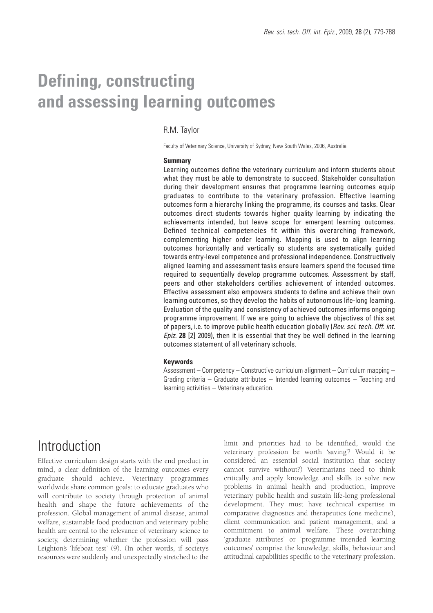# **Defining, constructing and assessing learning outcomes**

### R.M. Taylor

Faculty of Veterinary Science, University of Sydney, New South Wales, 2006, Australia

#### **Summary**

Learning outcomes define the veterinary curriculum and inform students about what they must be able to demonstrate to succeed. Stakeholder consultation during their development ensures that programme learning outcomes equip graduates to contribute to the veterinary profession. Effective learning outcomes form a hierarchy linking the programme, its courses and tasks. Clear outcomes direct students towards higher quality learning by indicating the achievements intended, but leave scope for emergent learning outcomes. Defined technical competencies fit within this overarching framework, complementing higher order learning. Mapping is used to align learning outcomes horizontally and vertically so students are systematically guided towards entry-level competence and professional independence. Constructively aligned learning and assessment tasks ensure learners spend the focused time required to sequentially develop programme outcomes. Assessment by staff, peers and other stakeholders certifies achievement of intended outcomes. Effective assessment also empowers students to define and achieve their own learning outcomes, so they develop the habits of autonomous life-long learning. Evaluation of the quality and consistency of achieved outcomes informs ongoing programme improvement. If we are going to achieve the objectives of this set of papers, i.e. to improve public health education globally (*Rev. sci. tech. Off. int. Epiz.* **28** [2] 2009), then it is essential that they be well defined in the learning outcomes statement of all veterinary schools.

#### **Keywords**

Assessment – Competency – Constructive curriculum alignment – Curriculum mapping – Grading criteria – Graduate attributes – Intended learning outcomes – Teaching and learning activities – Veterinary education.

### Introduction

Effective curriculum design starts with the end product in mind, a clear definition of the learning outcomes every graduate should achieve. Veterinary programmes worldwide share common goals: to educate graduates who will contribute to society through protection of animal health and shape the future achievements of the profession. Global management of animal disease, animal welfare, sustainable food production and veterinary public health are central to the relevance of veterinary science to society, determining whether the profession will pass Leighton's 'lifeboat test' (9). (In other words, if society's resources were suddenly and unexpectedly stretched to the limit and priorities had to be identified, would the veterinary profession be worth 'saving'? Would it be considered an essential social institution that society cannot survive without?) Veterinarians need to think critically and apply knowledge and skills to solve new problems in animal health and production, improve veterinary public health and sustain life-long professional development. They must have technical expertise in comparative diagnostics and therapeutics (one medicine), client communication and patient management, and a commitment to animal welfare. These overarching 'graduate attributes' or 'programme intended learning outcomes' comprise the knowledge, skills, behaviour and attitudinal capabilities specific to the veterinary profession.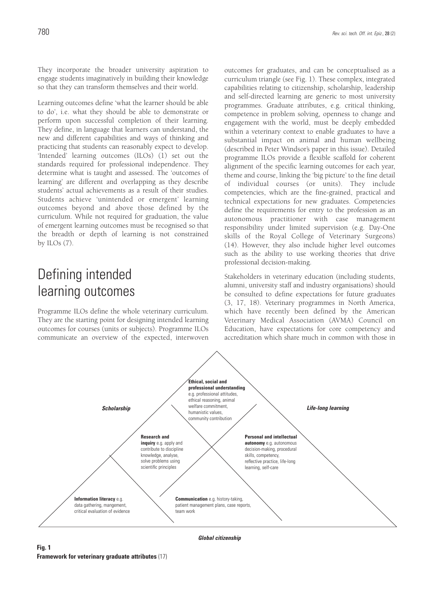They incorporate the broader university aspiration to engage students imaginatively in building their knowledge so that they can transform themselves and their world.

Learning outcomes define 'what the learner should be able to do', i.e. what they should be able to demonstrate or perform upon successful completion of their learning. They define, in language that learners can understand, the new and different capabilities and ways of thinking and practicing that students can reasonably expect to develop. 'Intended' learning outcomes (ILOs) (1) set out the standards required for professional independence. They determine what is taught and assessed. The 'outcomes of learning' are different and overlapping as they describe students' actual achievements as a result of their studies. Students achieve 'unintended or emergent' learning outcomes beyond and above those defined by the curriculum. While not required for graduation, the value of emergent learning outcomes must be recognised so that the breadth or depth of learning is not constrained by ILOs (7).

## Defining intended learning outcomes

Programme ILOs define the whole veterinary curriculum. They are the starting point for designing intended learning outcomes for courses (units or subjects). Programme ILOs communicate an overview of the expected, interwoven outcomes for graduates, and can be conceptualised as a curriculum triangle (see Fig. 1). These complex, integrated capabilities relating to citizenship, scholarship, leadership and self-directed learning are generic to most university programmes. Graduate attributes, e.g. critical thinking, competence in problem solving, openness to change and engagement with the world, must be deeply embedded within a veterinary context to enable graduates to have a substantial impact on animal and human wellbeing (described in Peter Windsor's paper in this issue). Detailed programme ILOs provide a flexible scaffold for coherent alignment of the specific learning outcomes for each year, theme and course, linking the 'big picture' to the fine detail of individual courses (or units). They include competencies, which are the fine-grained, practical and technical expectations for new graduates. Competencies define the requirements for entry to the profession as an autonomous practitioner with case management responsibility under limited supervision (e.g. Day-One skills of the Royal College of Veterinary Surgeons) (14). However, they also include higher level outcomes such as the ability to use working theories that drive professional decision-making.

Stakeholders in veterinary education (including students, alumni, university staff and industry organisations) should be consulted to define expectations for future graduates (3, 17, 18). Veterinary programmes in North America, which have recently been defined by the American Veterinary Medical Association (AVMA) Council on Education, have expectations for core competency and accreditation which share much in common with those in



**Fig. 1 Framework for veterinary graduate attributes** (17)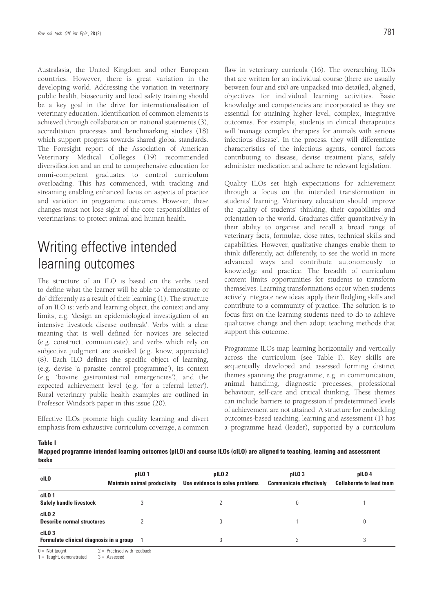Australasia, the United Kingdom and other European countries. However, there is great variation in the developing world. Addressing the variation in veterinary public health, biosecurity and food safety training should be a key goal in the drive for internationalisation of veterinary education. Identification of common elements is achieved through collaboration on national statements (3), accreditation processes and benchmarking studies (18) which support progress towards shared global standards. The Foresight report of the Association of American Veterinary Medical Colleges (19) recommended diversification and an end to comprehensive education for omni-competent graduates to control curriculum overloading. This has commenced, with tracking and streaming enabling enhanced focus on aspects of practice and variation in programme outcomes. However, these changes must not lose sight of the core responsibilities of veterinarians: to protect animal and human health.

## Writing effective intended learning outcomes

The structure of an ILO is based on the verbs used to define what the learner will be able to 'demonstrate or do' differently as a result of their learning (1). The structure of an ILO is: verb and learning object, the context and any limits, e.g. 'design an epidemiological investigation of an intensive livestock disease outbreak'. Verbs with a clear meaning that is well defined for novices are selected (e.g. construct, communicate), and verbs which rely on subjective judgment are avoided (e.g. know, appreciate) (8). Each ILO defines the specific object of learning, (e.g. devise 'a parasite control programme'), its context (e.g. 'bovine gastrointestinal emergencies'), and the expected achievement level (e.g. 'for a referral letter'). Rural veterinary public health examples are outlined in Professor Windsor's paper in this issue (20).

Effective ILOs promote high quality learning and divert emphasis from exhaustive curriculum coverage, a common flaw in veterinary curricula (16). The overarching ILOs that are written for an individual course (there are usually between four and six) are unpacked into detailed, aligned, objectives for individual learning activities. Basic knowledge and competencies are incorporated as they are essential for attaining higher level, complex, integrative outcomes. For example, students in clinical therapeutics will 'manage complex therapies for animals with serious infectious disease'. In the process, they will differentiate characteristics of the infectious agents, control factors contributing to disease, devise treatment plans, safely administer medication and adhere to relevant legislation.

Quality ILOs set high expectations for achievement through a focus on the intended transformation in students' learning. Veterinary education should improve the quality of students' thinking, their capabilities and orientation to the world. Graduates differ quantitatively in their ability to organise and recall a broad range of veterinary facts, formulae, dose rates, technical skills and capabilities. However, qualitative changes enable them to think differently, act differently, to see the world in more advanced ways and contribute autonomously to knowledge and practice. The breadth of curriculum content limits opportunities for students to transform themselves. Learning transformations occur when students actively integrate new ideas, apply their fledgling skills and contribute to a community of practice. The solution is to focus first on the learning students need to do to achieve qualitative change and then adopt teaching methods that support this outcome.

Programme ILOs map learning horizontally and vertically across the curriculum (see Table I). Key skills are sequentially developed and assessed forming distinct themes spanning the programme, e.g. in communication, animal handling, diagnostic processes, professional behaviour, self-care and critical thinking. These themes can include barriers to progression if predetermined levels of achievement are not attained. A structure for embedding outcomes-based teaching, learning and assessment (1) has a programme head (leader), supported by a curriculum

**Table I**

**Mapped programme intended learning outcomes (pILO) and course ILOs (cILO) are aligned to teaching, learning and assessment tasks**

| <b>cILO</b>                                                  | pILO <sub>1</sub><br><b>Maintain animal productivity</b> | pILO <sub>2</sub><br>Use evidence to solve problems | pILO <sub>3</sub><br><b>Communicate effectively</b> | pILO 4<br><b>Collaborate to lead team</b> |
|--------------------------------------------------------------|----------------------------------------------------------|-----------------------------------------------------|-----------------------------------------------------|-------------------------------------------|
| cILO <sub>1</sub><br><b>Safely handle livestock</b>          |                                                          |                                                     | 0                                                   |                                           |
| cILO <sub>2</sub><br><b>Describe normal structures</b>       |                                                          | 0                                                   |                                                     |                                           |
| cILO <sub>3</sub><br>Formulate clinical diagnosis in a group |                                                          | 3                                                   | C                                                   |                                           |
| $0 =$ Not taught                                             | $2 =$ Practised with feedback                            |                                                     |                                                     |                                           |

 $1 =$ Taught, demonstrated  $3 =$ Assessed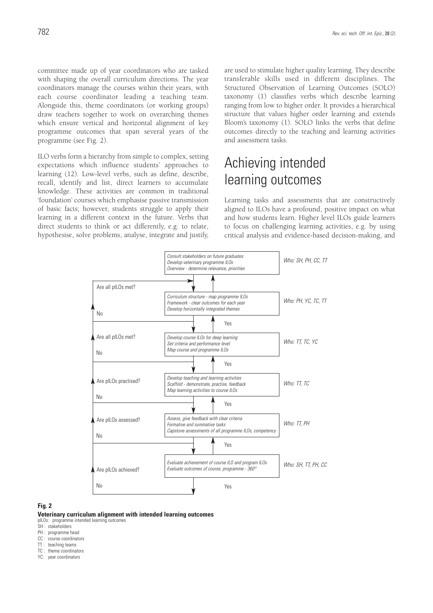committee made up of year coordinators who are tasked with shaping the overall curriculum directions. The year coordinators manage the courses within their years, with each course coordinator leading a teaching team. Alongside this, theme coordinators (or working groups) draw teachers together to work on overarching themes which ensure vertical and horizontal alignment of key programme outcomes that span several years of the programme (see Fig. 2).

ILO verbs form a hierarchy from simple to complex, setting expectations which influence students' approaches to learning (12). Low-level verbs, such as define, describe, recall, identify and list, direct learners to accumulate knowledge. These activities are common in traditional 'foundation' courses which emphasise passive transmission of basic facts; however, students struggle to apply their learning in a different context in the future. Verbs that direct students to think or act differently, e.g. to relate, hypothesise, solve problems, analyse, integrate and justify, are used to stimulate higher quality learning. They describe transferable skills used in different disciplines. The Structured Observation of Learning Outcomes (SOLO) taxonomy (1) classifies verbs which describe learning ranging from low to higher order. It provides a hierarchical structure that values higher order learning and extends Bloom's taxonomy (1). SOLO links the verbs that define outcomes directly to the teaching and learning activities and assessment tasks.

## Achieving intended learning outcomes

Learning tasks and assessments that are constructively aligned to ILOs have a profound, positive impact on what and how students learn. Higher level ILOs guide learners to focus on challenging learning activities, e.g. by using critical analysis and evidence-based decision-making, and



#### **Fig. 2**

#### **Veterinary curriculum alignment with intended learning outcomes**

- pILOs: programme intended learning outcomes
- SH : stakeholders
- PH : programme head CC : course coordinators
- TT : teaching teams
- TC : theme coordinators
- YC: year coordinators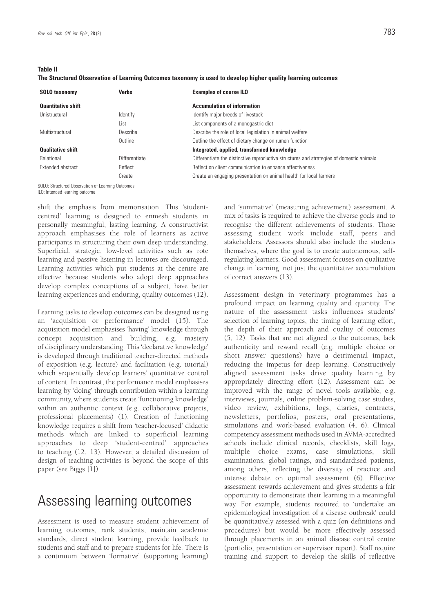|                     | ۰<br>×             |
|---------------------|--------------------|
| . .<br>I<br>w<br>۰. | ×<br>I<br>v.<br>۰. |

| <b>SOLO taxonomy</b>      | <b>Verbs</b>  | <b>Examples of course ILO</b>                                                            |
|---------------------------|---------------|------------------------------------------------------------------------------------------|
| <b>Quantitative shift</b> |               | <b>Accumulation of information</b>                                                       |
| Unistructural             | Identify      | Identify major breeds of livestock                                                       |
|                           | List          | List components of a monogastric diet                                                    |
| Multistructural           | Describe      | Describe the role of local legislation in animal welfare                                 |
|                           | Outline       | Outline the effect of dietary change on rumen function                                   |
| <b>Qualitative shift</b>  |               | Integrated, applied, transformed knowledge                                               |
| Relational                | Differentiate | Differentiate the distinctive reproductive structures and strategies of domestic animals |
| Extended abstract         | Reflect       | Reflect on client communication to enhance effectiveness                                 |
|                           | Create        | Create an engaging presentation on animal health for local farmers                       |

**Table II The Structured Observation of Learning Outcomes taxonomy is used to develop higher quality learning outcomes**

SOLO: Structured Observation of Learning Outcomes

ILO: Intended learning outcome

shift the emphasis from memorisation. This 'studentcentred' learning is designed to enmesh students in personally meaningful, lasting learning. A constructivist approach emphasises the role of learners as active participants in structuring their own deep understanding. Superficial, strategic, low-level activities such as rote learning and passive listening in lectures are discouraged. Learning activities which put students at the centre are effective because students who adopt deep approaches develop complex conceptions of a subject, have better learning experiences and enduring, quality outcomes (12).

Learning tasks to develop outcomes can be designed using an 'acquisition or performance' model (15). The acquisition model emphasises 'having' knowledge through concept acquisition and building, e.g. mastery of disciplinary understanding. This 'declarative knowledge' is developed through traditional teacher-directed methods of exposition (e.g. lecture) and facilitation (e.g. tutorial) which sequentially develop learners' quantitative control of content. In contrast, the performance model emphasises learning by 'doing' through contribution within a learning community, where students create 'functioning knowledge' within an authentic context (e.g. collaborative projects, professional placements) (1). Creation of functioning knowledge requires a shift from 'teacher-focused' didactic methods which are linked to superficial learning approaches to deep 'student-centred' approaches to teaching (12, 13). However, a detailed discussion of design of teaching activities is beyond the scope of this paper (see Biggs [1]).

### Assessing learning outcomes

Assessment is used to measure student achievement of learning outcomes, rank students, maintain academic standards, direct student learning, provide feedback to students and staff and to prepare students for life. There is a continuum between 'formative' (supporting learning)

and 'summative' (measuring achievement) assessment. A mix of tasks is required to achieve the diverse goals and to recognise the different achievements of students. Those assessing student work include staff, peers and stakeholders. Assessors should also include the students themselves, where the goal is to create autonomous, selfregulating learners. Good assessment focuses on qualitative change in learning, not just the quantitative accumulation of correct answers (13).

Assessment design in veterinary programmes has a profound impact on learning quality and quantity. The nature of the assessment tasks influences students' selection of learning topics, the timing of learning effort, the depth of their approach and quality of outcomes (5, 12). Tasks that are not aligned to the outcomes, lack authenticity and reward recall (e.g. multiple choice or short answer questions) have a detrimental impact, reducing the impetus for deep learning. Constructively aligned assessment tasks drive quality learning by appropriately directing effort (12). Assessment can be improved with the range of novel tools available, e.g. interviews, journals, online problem-solving case studies, video review, exhibitions, logs, diaries, contracts, newsletters, portfolios, posters, oral presentations, simulations and work-based evaluation (4, 6). Clinical competency assessment methods used in AVMA-accredited schools include clinical records, checklists, skill logs, multiple choice exams, case simulations, skill examinations, global ratings, and standardised patients, among others, reflecting the diversity of practice and intense debate on optimal assessment (6). Effective assessment rewards achievement and gives students a fair opportunity to demonstrate their learning in a meaningful way. For example, students required to 'undertake an epidemiological investigation of a disease outbreak' could be quantitatively assessed with a quiz (on definitions and procedures) but would be more effectively assessed through placements in an animal disease control centre (portfolio, presentation or supervisor report). Staff require training and support to develop the skills of reflective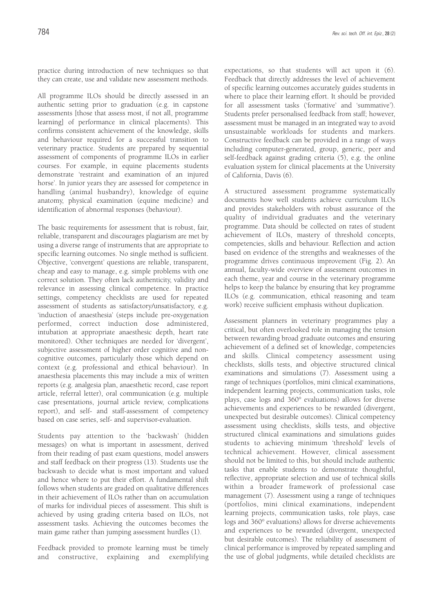practice during introduction of new techniques so that they can create, use and validate new assessment methods.

All programme ILOs should be directly assessed in an authentic setting prior to graduation (e.g. in capstone assessments [those that assess most, if not all, programme learning] of performance in clinical placements). This confirms consistent achievement of the knowledge, skills and behaviour required for a successful transition to veterinary practice. Students are prepared by sequential assessment of components of programme ILOs in earlier courses. For example, in equine placements students demonstrate 'restraint and examination of an injured horse'. In junior years they are assessed for competence in handling (animal husbandry), knowledge of equine anatomy, physical examination (equine medicine) and identification of abnormal responses (behaviour).

The basic requirements for assessment that is robust, fair, reliable, transparent and discourages plagiarism are met by using a diverse range of instruments that are appropriate to specific learning outcomes. No single method is sufficient. Objective, 'convergent' questions are reliable, transparent, cheap and easy to manage, e.g. simple problems with one correct solution. They often lack authenticity, validity and relevance in assessing clinical competence. In practice settings, competency checklists are used for repeated assessment of students as satisfactory/unsatisfactory, e.g. 'induction of anaesthesia' (steps include pre-oxygenation performed, correct induction dose administered, intubation at appropriate anaesthesic depth, heart rate monitored). Other techniques are needed for 'divergent', subjective assessment of higher order cognitive and noncognitive outcomes, particularly those which depend on context (e.g. professional and ethical behaviour). In anaesthesia placements this may include a mix of written reports (e.g. analgesia plan, anaesthetic record, case report article, referral letter), oral communication (e.g. multiple case presentations, journal article review, complications report), and self- and staff-assessment of competency based on case series, self- and supervisor-evaluation.

Students pay attention to the 'backwash' (hidden messages) on what is important in assessment, derived from their reading of past exam questions, model answers and staff feedback on their progress (13). Students use the backwash to decide what is most important and valued and hence where to put their effort. A fundamental shift follows when students are graded on qualitative differences in their achievement of ILOs rather than on accumulation of marks for individual pieces of assessment. This shift is achieved by using grading criteria based on ILOs, not assessment tasks. Achieving the outcomes becomes the main game rather than jumping assessment hurdles (1).

Feedback provided to promote learning must be timely and constructive, explaining and exemplifying expectations, so that students will act upon it (6). Feedback that directly addresses the level of achievement of specific learning outcomes accurately guides students in where to place their learning effort. It should be provided for all assessment tasks ('formative' and 'summative'). Students prefer personalised feedback from staff; however, assessment must be managed in an integrated way to avoid unsustainable workloads for students and markers. Constructive feedback can be provided in a range of ways including computer-generated, group, generic, peer and self-feedback against grading criteria (5), e.g. the online evaluation system for clinical placements at the University of California, Davis (6).

A structured assessment programme systematically documents how well students achieve curriculum ILOs and provides stakeholders with robust assurance of the quality of individual graduates and the veterinary programme. Data should be collected on rates of student achievement of ILOs, mastery of threshold concepts, competencies, skills and behaviour. Reflection and action based on evidence of the strengths and weaknesses of the programme drives continuous improvement (Fig. 2). An annual, faculty-wide overview of assessment outcomes in each theme, year and course in the veterinary programme helps to keep the balance by ensuring that key programme ILOs (e.g. communication, ethical reasoning and team work) receive sufficient emphasis without duplication.

Assessment planners in veterinary programmes play a critical, but often overlooked role in managing the tension between rewarding broad graduate outcomes and ensuring achievement of a defined set of knowledge, competencies and skills. Clinical competency assessment using checklists, skills tests, and objective structured clinical examinations and simulations (7). Assessment using a range of techniques (portfolios, mini clinical examinations, independent learning projects, communication tasks, role plays, case logs and 360° evaluations) allows for diverse achievements and experiences to be rewarded (divergent, unexpected but desirable outcomes). Clinical competency assessment using checklists, skills tests, and objective structured clinical examinations and simulations guides students to achieving minimum 'threshold' levels of technical achievement. However, clinical assessment should not be limited to this, but should include authentic tasks that enable students to demonstrate thoughtful, reflective, appropriate selection and use of technical skills within a broader framework of professional case management (7). Assessment using a range of techniques (portfolios, mini clinical examinations, independent learning projects, communication tasks, role plays, case logs and 360° evaluations) allows for diverse achievements and experiences to be rewarded (divergent, unexpected but desirable outcomes). The reliability of assessment of clinical performance is improved by repeated sampling and the use of global judgments, while detailed checklists are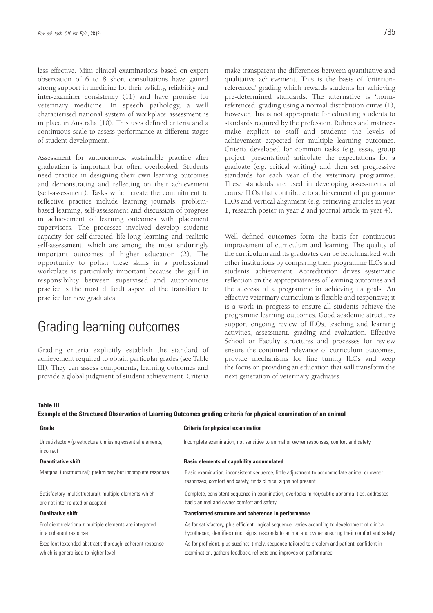less effective. Mini clinical examinations based on expert observation of 6 to 8 short consultations have gained strong support in medicine for their validity, reliability and inter-examiner consistency (11) and have promise for veterinary medicine. In speech pathology, a well characterised national system of workplace assessment is in place in Australia (10). This uses defined criteria and a continuous scale to assess performance at different stages of student development.

Assessment for autonomous, sustainable practice after graduation is important but often overlooked. Students need practice in designing their own learning outcomes and demonstrating and reflecting on their achievement (self-assessment). Tasks which create the commitment to reflective practice include learning journals, problembased learning, self-assessment and discussion of progress in achievement of learning outcomes with placement supervisors. The processes involved develop students capacity for self-directed life-long learning and realistic self-assessment, which are among the most enduringly important outcomes of higher education (2). The opportunity to polish these skills in a professional workplace is particularly important because the gulf in responsibility between supervised and autonomous practice is the most difficult aspect of the transition to practice for new graduates.

### Grading learning outcomes

Grading criteria explicitly establish the standard of achievement required to obtain particular grades (see Table III). They can assess components, learning outcomes and provide a global judgment of student achievement. Criteria make transparent the differences between quantitative and qualitative achievement. This is the basis of 'criterionreferenced' grading which rewards students for achieving pre-determined standards. The alternative is 'normreferenced' grading using a normal distribution curve (1), however, this is not appropriate for educating students to standards required by the profession. Rubrics and matrices make explicit to staff and students the levels of achievement expected for multiple learning outcomes. Criteria developed for common tasks (e.g. essay, group project, presentation) articulate the expectations for a graduate (e.g. critical writing) and then set progressive standards for each year of the veterinary programme. These standards are used in developing assessments of course ILOs that contribute to achievement of programme ILOs and vertical alignment (e.g. retrieving articles in year 1, research poster in year 2 and journal article in year 4).

Well defined outcomes form the basis for continuous improvement of curriculum and learning. The quality of the curriculum and its graduates can be benchmarked with other institutions by comparing their programme ILOs and students' achievement. Accreditation drives systematic reflection on the appropriateness of learning outcomes and the success of a programme in achieving its goals. An effective veterinary curriculum is flexible and responsive; it is a work in progress to ensure all students achieve the programme learning outcomes. Good academic structures support ongoing review of ILOs, teaching and learning activities, assessment, grading and evaluation. Effective School or Faculty structures and processes for review ensure the continued relevance of curriculum outcomes, provide mechanisms for fine tuning ILOs and keep the focus on providing an education that will transform the next generation of veterinary graduates.

#### **Table III**

**Example of the Structured Observation of Learning Outcomes grading criteria for physical examination of an animal**

| Grade                                                                                              | <b>Criteria for physical examination</b>                                                                                                                                                                 |
|----------------------------------------------------------------------------------------------------|----------------------------------------------------------------------------------------------------------------------------------------------------------------------------------------------------------|
| Unsatisfactory (prestructural): missing essential elements,<br>incorrect                           | Incomplete examination, not sensitive to animal or owner responses, comfort and safety                                                                                                                   |
| <b>Quantitative shift</b>                                                                          | <b>Basic elements of capability accumulated</b>                                                                                                                                                          |
| Marginal (unistructural): preliminary but incomplete response                                      | Basic examination, inconsistent sequence, little adjustment to accommodate animal or owner<br>responses, comfort and safety, finds clinical signs not present                                            |
| Satisfactory (multistructural): multiple elements which<br>are not inter-related or adapted        | Complete, consistent sequence in examination, overlooks minor/subtle abnormalities, addresses<br>basic animal and owner comfort and safety                                                               |
| <b>Qualitative shift</b>                                                                           | Transformed structure and coherence in performance                                                                                                                                                       |
| Proficient (relational): multiple elements are integrated<br>in a coherent response                | As for satisfactory, plus efficient, logical sequence, varies according to development of clinical<br>hypotheses, identifies minor signs, responds to animal and owner ensuring their comfort and safety |
| Excellent (extended abstract): thorough, coherent response<br>which is generalised to higher level | As for proficient, plus succinct, timely, sequence tailored to problem and patient, confident in<br>examination, gathers feedback, reflects and improves on performance                                  |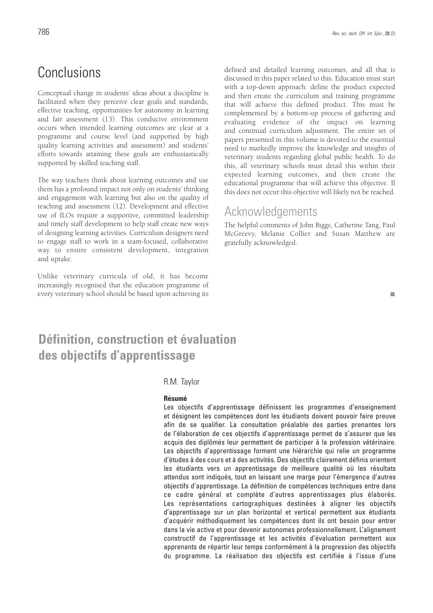### Conclusions

Conceptual change in students' ideas about a discipline is facilitated when they perceive clear goals and standards, effective teaching, opportunities for autonomy in learning and fair assessment (13). This conducive environment occurs when intended learning outcomes are clear at a programme and course level (and supported by high quality learning activities and assessment) and students' efforts towards attaining these goals are enthusiastically supported by skilled teaching staff.

The way teachers think about learning outcomes and use them has a profound impact not only on students' thinking and engagement with learning but also on the quality of teaching and assessment (12). Development and effective use of ILOs require a supportive, committed leadership and timely staff development to help staff create new ways of designing learning activities. Curriculum designers need to engage staff to work in a team-focused, collaborative way to ensure consistent development, integration and uptake.

Unlike veterinary curricula of old, it has become increasingly recognised that the education programme of every veterinary school should be based upon achieving its defined and detailed learning outcomes, and all that is discussed in this paper related to this. Education must start with a top-down approach: define the product expected and then create the curriculum and training programme that will achieve this defined product. This must be complemented by a bottom-up process of gathering and evaluating evidence of the impact on learning and continual curriculum adjustment. The entire set of papers presented in this volume is devoted to the essential need to markedly improve the knowledge and insights of veterinary students regarding global public health. To do this, all veterinary schools must detail this within their expected learning outcomes, and then create the educational programme that will achieve this objective. If this does not occur this objective will likely not be reached.

### Acknowledgements

The helpful comments of John Biggs, Catherine Tang, Paul McGreevy, Melanie Collier and Susan Matthew are gratefully acknowledged.

#### п

### **Définition, construction et évaluation des objectifs d'apprentissage**

R.M. Taylor

### **Résumé**

Les objectifs d'apprentissage définissent les programmes d'enseignement et désignent les compétences dont les étudiants doivent pouvoir faire preuve afin de se qualifier. La consultation préalable des parties prenantes lors de l'élaboration de ces objectifs d'apprentissage permet de s'assurer que les acquis des diplômés leur permettent de participer à la profession vétérinaire. Les objectifs d'apprentissage forment une hiérarchie qui relie un programme d'études à des cours et à des activités. Des objectifs clairement définis orientent les étudiants vers un apprentissage de meilleure qualité où les résultats attendus sont indiqués, tout en laissant une marge pour l'émergence d'autres objectifs d'apprentissage. La définition de compétences techniques entre dans ce cadre général et complète d'autres apprentissages plus élaborés. Les représentations cartographiques destinées à aligner les objectifs d'apprentissage sur un plan horizontal et vertical permettent aux étudiants d'acquérir méthodiquement les compétences dont ils ont besoin pour entrer dans la vie active et pour devenir autonomes professionnellement. L'alignement constructif de l'apprentissage et les activités d'évaluation permettent aux apprenants de répartir leur temps conformément à la progression des objectifs du programme. La réalisation des objectifs est certifiée à l'issue d'une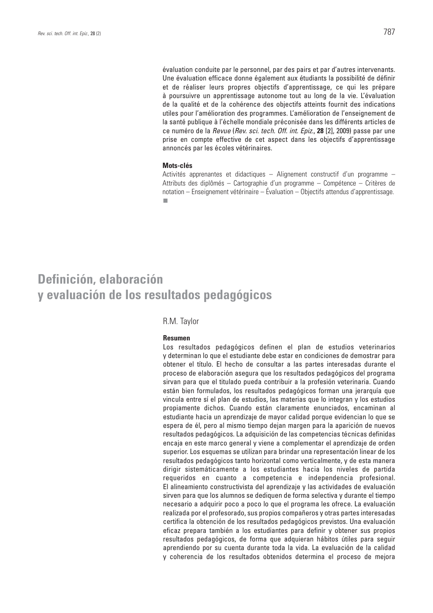évaluation conduite par le personnel, par des pairs et par d'autres intervenants. Une évaluation efficace donne également aux étudiants la possibilité de définir et de réaliser leurs propres objectifs d'apprentissage, ce qui les prépare à poursuivre un apprentissage autonome tout au long de la vie. L'évaluation de la qualité et de la cohérence des objectifs atteints fournit des indications utiles pour l'amélioration des programmes. L'amélioration de l'enseignement de la santé publique à l'échelle mondiale préconisée dans les différents articles de ce numéro de la *Revue* (*Rev. sci. tech. Off. int. Epiz.*, **28** [2], 2009) passe par une prise en compte effective de cet aspect dans les objectifs d'apprentissage annoncés par les écoles vétérinaires.

#### **Mots-clés**

Activités apprenantes et didactiques – Alignement constructif d'un programme – Attributs des diplômés – Cartographie d'un programme – Compétence – Critères de notation – Enseignement vétérinaire – Évaluation – Objectifs attendus d'apprentissage.п

### **Definición, elaboración y evaluación de los resultados pedagógicos**

### R.M. Taylor

#### **Resumen**

Los resultados pedagógicos definen el plan de estudios veterinarios y determinan lo que el estudiante debe estar en condiciones de demostrar para obtener el título. El hecho de consultar a las partes interesadas durante el proceso de elaboración asegura que los resultados pedagógicos del programa sirvan para que el titulado pueda contribuir a la profesión veterinaria. Cuando están bien formulados, los resultados pedagógicos forman una jerarquía que vincula entre sí el plan de estudios, las materias que lo integran y los estudios propiamente dichos. Cuando están claramente enunciados, encaminan al estudiante hacia un aprendizaje de mayor calidad porque evidencian lo que se espera de él, pero al mismo tiempo dejan margen para la aparición de nuevos resultados pedagógicos. La adquisición de las competencias técnicas definidas encaja en este marco general y viene a complementar el aprendizaje de orden superior. Los esquemas se utilizan para brindar una representación linear de los resultados pedagógicos tanto horizontal como verticalmente, y de esta manera dirigir sistemáticamente a los estudiantes hacia los niveles de partida requeridos en cuanto a competencia e independencia profesional. El alineamiento constructivista del aprendizaje y las actividades de evaluación sirven para que los alumnos se dediquen de forma selectiva y durante el tiempo necesario a adquirir poco a poco lo que el programa les ofrece. La evaluación realizada por el profesorado, sus propios compañeros y otras partes interesadas certifica la obtención de los resultados pedagógicos previstos. Una evaluación eficaz prepara también a los estudiantes para definir y obtener sus propios resultados pedagógicos, de forma que adquieran hábitos útiles para seguir aprendiendo por su cuenta durante toda la vida. La evaluación de la calidad y coherencia de los resultados obtenidos determina el proceso de mejora